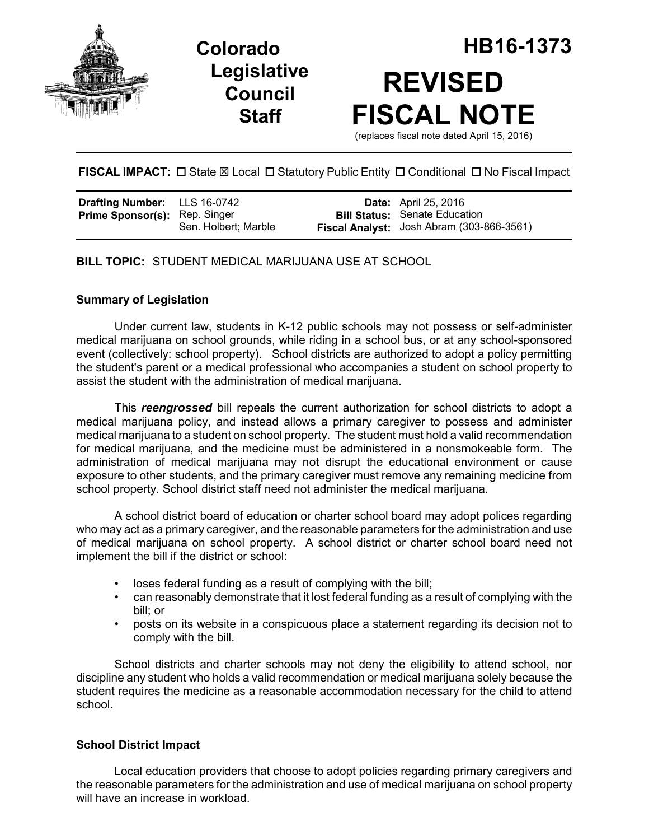





# **FISCAL IMPACT:** □ State ⊠ Local □ Statutory Public Entity □ Conditional □ No Fiscal Impact

| <b>Drafting Number:</b> LLS 16-0742  |                      | <b>Date:</b> April 25, 2016                                                       |
|--------------------------------------|----------------------|-----------------------------------------------------------------------------------|
| <b>Prime Sponsor(s): Rep. Singer</b> | Sen. Holbert: Marble | <b>Bill Status:</b> Senate Education<br>Fiscal Analyst: Josh Abram (303-866-3561) |

# **BILL TOPIC:** STUDENT MEDICAL MARIJUANA USE AT SCHOOL

# **Summary of Legislation**

Under current law, students in K-12 public schools may not possess or self-administer medical marijuana on school grounds, while riding in a school bus, or at any school-sponsored event (collectively: school property). School districts are authorized to adopt a policy permitting the student's parent or a medical professional who accompanies a student on school property to assist the student with the administration of medical marijuana.

This *reengrossed* bill repeals the current authorization for school districts to adopt a medical marijuana policy, and instead allows a primary caregiver to possess and administer medical marijuana to a student on school property. The student must hold a valid recommendation for medical marijuana, and the medicine must be administered in a nonsmokeable form. The administration of medical marijuana may not disrupt the educational environment or cause exposure to other students, and the primary caregiver must remove any remaining medicine from school property. School district staff need not administer the medical marijuana.

A school district board of education or charter school board may adopt polices regarding who may act as a primary caregiver, and the reasonable parameters for the administration and use of medical marijuana on school property. A school district or charter school board need not implement the bill if the district or school:

- loses federal funding as a result of complying with the bill;
- can reasonably demonstrate that it lost federal funding as a result of complying with the bill; or
- posts on its website in a conspicuous place a statement regarding its decision not to comply with the bill.

School districts and charter schools may not deny the eligibility to attend school, nor discipline any student who holds a valid recommendation or medical marijuana solely because the student requires the medicine as a reasonable accommodation necessary for the child to attend school.

### **School District Impact**

Local education providers that choose to adopt policies regarding primary caregivers and the reasonable parameters for the administration and use of medical marijuana on school property will have an increase in workload.